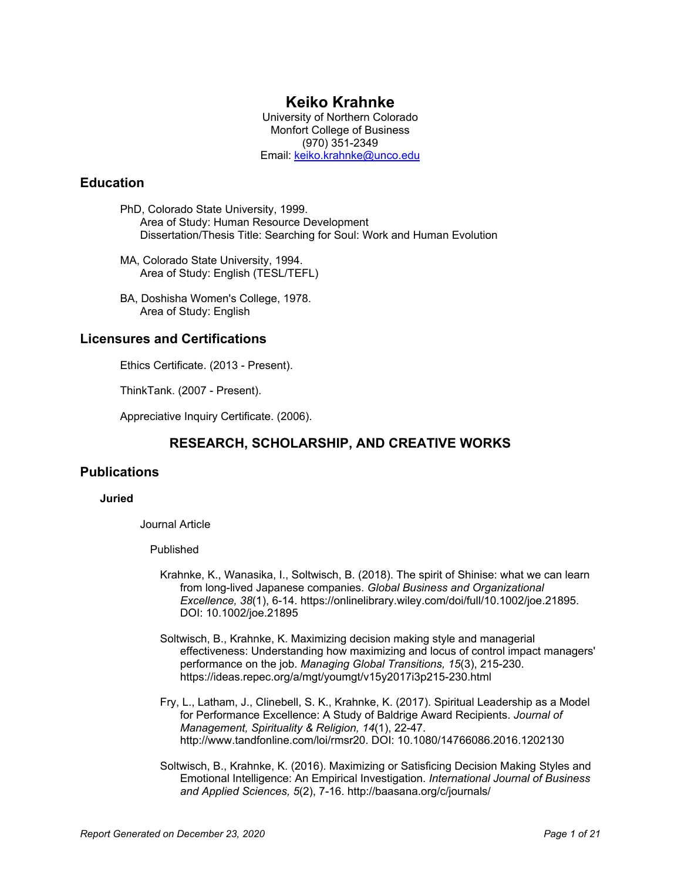# **Keiko Krahnke**

University of Northern Colorado Monfort College of Business (970) 351-2349 Email: [keiko.krahnke@unco.edu](mailto:keiko.krahnke@unco.edu)

## **Education**

- PhD, Colorado State University, 1999. Area of Study: Human Resource Development Dissertation/Thesis Title: Searching for Soul: Work and Human Evolution
- MA, Colorado State University, 1994. Area of Study: English (TESL/TEFL)
- BA, Doshisha Women's College, 1978. Area of Study: English

## **Licensures and Certifications**

Ethics Certificate. (2013 - Present).

ThinkTank. (2007 - Present).

Appreciative Inquiry Certificate. (2006).

# **RESEARCH, SCHOLARSHIP, AND CREATIVE WORKS**

## **Publications**

### **Juried**

Journal Article

### Published

- Krahnke, K., Wanasika, I., Soltwisch, B. (2018). The spirit of Shinise: what we can learn from long-lived Japanese companies. *Global Business and Organizational Excellence, 38*(1), 6-14. https://onlinelibrary.wiley.com/doi/full/10.1002/joe.21895. DOI: 10.1002/joe.21895
- Soltwisch, B., Krahnke, K. Maximizing decision making style and managerial effectiveness: Understanding how maximizing and locus of control impact managers' performance on the job. *Managing Global Transitions, 15*(3), 215-230. https://ideas.repec.org/a/mgt/youmgt/v15y2017i3p215-230.html
- Fry, L., Latham, J., Clinebell, S. K., Krahnke, K. (2017). Spiritual Leadership as a Model for Performance Excellence: A Study of Baldrige Award Recipients. *Journal of Management, Spirituality & Religion, 14*(1), 22-47. http://www.tandfonline.com/loi/rmsr20. DOI: 10.1080/14766086.2016.1202130
- Soltwisch, B., Krahnke, K. (2016). Maximizing or Satisficing Decision Making Styles and Emotional Intelligence: An Empirical Investigation. *International Journal of Business and Applied Sciences, 5*(2), 7-16. http://baasana.org/c/journals/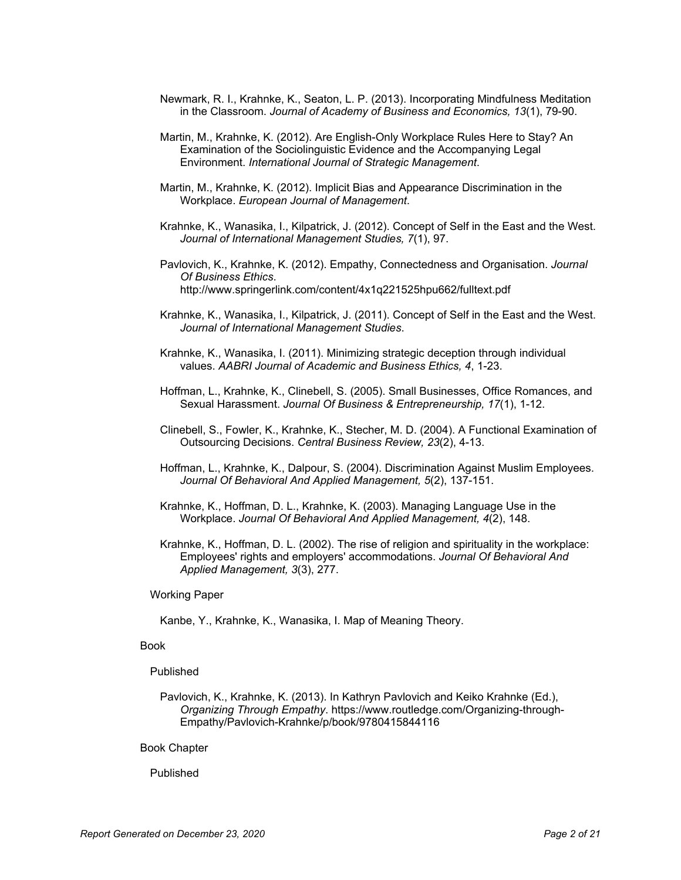- Newmark, R. I., Krahnke, K., Seaton, L. P. (2013). Incorporating Mindfulness Meditation in the Classroom. *Journal of Academy of Business and Economics, 13*(1), 79-90.
- Martin, M., Krahnke, K. (2012). Are English-Only Workplace Rules Here to Stay? An Examination of the Sociolinguistic Evidence and the Accompanying Legal Environment. *International Journal of Strategic Management*.
- Martin, M., Krahnke, K. (2012). Implicit Bias and Appearance Discrimination in the Workplace. *European Journal of Management*.
- Krahnke, K., Wanasika, I., Kilpatrick, J. (2012). Concept of Self in the East and the West. *Journal of International Management Studies, 7*(1), 97.
- Pavlovich, K., Krahnke, K. (2012). Empathy, Connectedness and Organisation. *Journal Of Business Ethics*. http://www.springerlink.com/content/4x1q221525hpu662/fulltext.pdf
- Krahnke, K., Wanasika, I., Kilpatrick, J. (2011). Concept of Self in the East and the West. *Journal of International Management Studies*.
- Krahnke, K., Wanasika, I. (2011). Minimizing strategic deception through individual values. *AABRI Journal of Academic and Business Ethics, 4*, 1-23.
- Hoffman, L., Krahnke, K., Clinebell, S. (2005). Small Businesses, Office Romances, and Sexual Harassment. *Journal Of Business & Entrepreneurship, 17*(1), 1-12.
- Clinebell, S., Fowler, K., Krahnke, K., Stecher, M. D. (2004). A Functional Examination of Outsourcing Decisions. *Central Business Review, 23*(2), 4-13.
- Hoffman, L., Krahnke, K., Dalpour, S. (2004). Discrimination Against Muslim Employees. *Journal Of Behavioral And Applied Management, 5*(2), 137-151.
- Krahnke, K., Hoffman, D. L., Krahnke, K. (2003). Managing Language Use in the Workplace. *Journal Of Behavioral And Applied Management, 4*(2), 148.
- Krahnke, K., Hoffman, D. L. (2002). The rise of religion and spirituality in the workplace: Employees' rights and employers' accommodations. *Journal Of Behavioral And Applied Management, 3*(3), 277.

Working Paper

Kanbe, Y., Krahnke, K., Wanasika, I. Map of Meaning Theory.

#### Book

#### Published

Pavlovich, K., Krahnke, K. (2013). In Kathryn Pavlovich and Keiko Krahnke (Ed.), *Organizing Through Empathy*. https://www.routledge.com/Organizing-through-Empathy/Pavlovich-Krahnke/p/book/9780415844116

#### Book Chapter

Published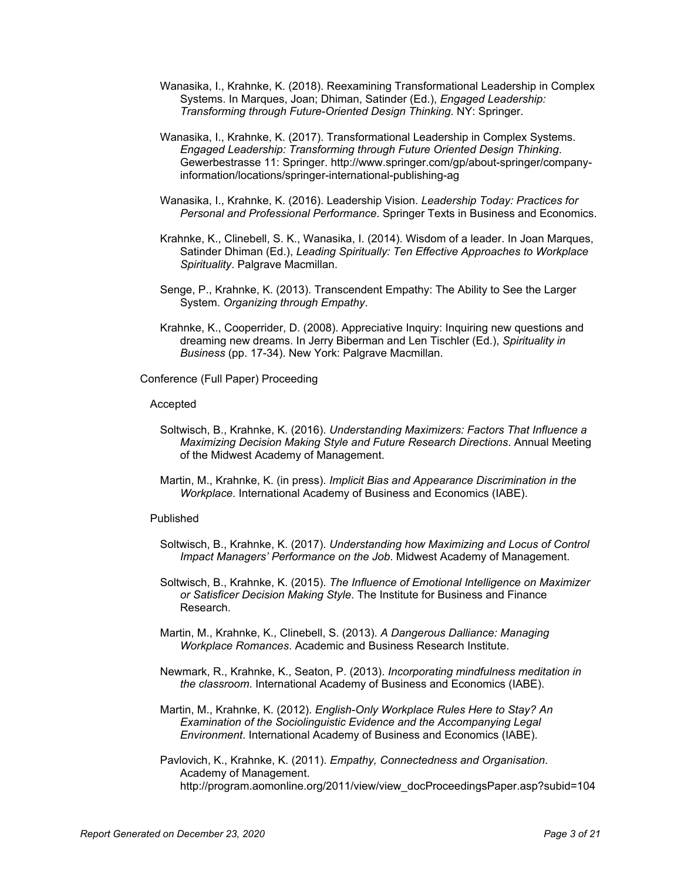- Wanasika, I., Krahnke, K. (2018). Reexamining Transformational Leadership in Complex Systems. In Marques, Joan; Dhiman, Satinder (Ed.), *Engaged Leadership: Transforming through Future-Oriented Design Thinking*. NY: Springer.
- Wanasika, I., Krahnke, K. (2017). Transformational Leadership in Complex Systems. *Engaged Leadership: Transforming through Future Oriented Design Thinking*. Gewerbestrasse 11: Springer. http://www.springer.com/gp/about-springer/companyinformation/locations/springer-international-publishing-ag
- Wanasika, I., Krahnke, K. (2016). Leadership Vision. *Leadership Today: Practices for Personal and Professional Performance*. Springer Texts in Business and Economics.
- Krahnke, K., Clinebell, S. K., Wanasika, I. (2014). Wisdom of a leader. In Joan Marques, Satinder Dhiman (Ed.), *Leading Spiritually: Ten Effective Approaches to Workplace Spirituality*. Palgrave Macmillan.
- Senge, P., Krahnke, K. (2013). Transcendent Empathy: The Ability to See the Larger System. *Organizing through Empathy*.
- Krahnke, K., Cooperrider, D. (2008). Appreciative Inquiry: Inquiring new questions and dreaming new dreams. In Jerry Biberman and Len Tischler (Ed.), *Spirituality in Business* (pp. 17-34). New York: Palgrave Macmillan.

Conference (Full Paper) Proceeding

#### Accepted

- Soltwisch, B., Krahnke, K. (2016). *Understanding Maximizers: Factors That Influence a Maximizing Decision Making Style and Future Research Directions*. Annual Meeting of the Midwest Academy of Management.
- Martin, M., Krahnke, K. (in press). *Implicit Bias and Appearance Discrimination in the Workplace*. International Academy of Business and Economics (IABE).

### Published

- Soltwisch, B., Krahnke, K. (2017). *Understanding how Maximizing and Locus of Control Impact Managers' Performance on the Job*. Midwest Academy of Management.
- Soltwisch, B., Krahnke, K. (2015). *The Influence of Emotional Intelligence on Maximizer or Satisficer Decision Making Style*. The Institute for Business and Finance Research.
- Martin, M., Krahnke, K., Clinebell, S. (2013). *A Dangerous Dalliance: Managing Workplace Romances*. Academic and Business Research Institute.
- Newmark, R., Krahnke, K., Seaton, P. (2013). *Incorporating mindfulness meditation in the classroom*. International Academy of Business and Economics (IABE).
- Martin, M., Krahnke, K. (2012). *English-Only Workplace Rules Here to Stay? An Examination of the Sociolinguistic Evidence and the Accompanying Legal Environment*. International Academy of Business and Economics (IABE).

Pavlovich, K., Krahnke, K. (2011). *Empathy, Connectedness and Organisation*. Academy of Management. http://program.aomonline.org/2011/view/view\_docProceedingsPaper.asp?subid=104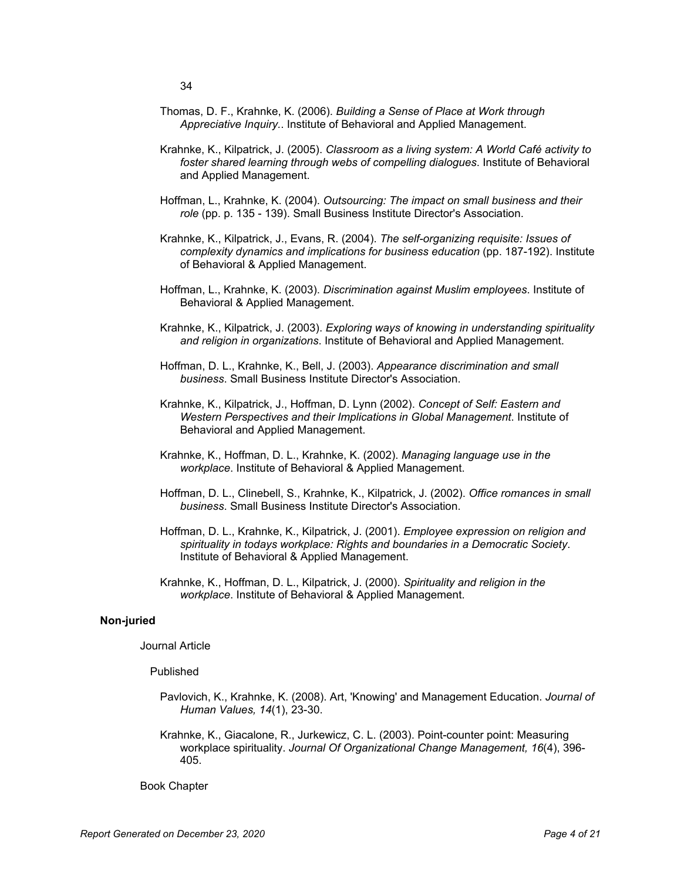- Thomas, D. F., Krahnke, K. (2006). *Building a Sense of Place at Work through Appreciative Inquiry.*. Institute of Behavioral and Applied Management.
- Krahnke, K., Kilpatrick, J. (2005). *Classroom as a living system: A World Café activity to foster shared learning through webs of compelling dialogues*. Institute of Behavioral and Applied Management.
- Hoffman, L., Krahnke, K. (2004). *Outsourcing: The impact on small business and their role* (pp. p. 135 - 139). Small Business Institute Director's Association.
- Krahnke, K., Kilpatrick, J., Evans, R. (2004). *The self-organizing requisite: Issues of complexity dynamics and implications for business education* (pp. 187-192). Institute of Behavioral & Applied Management.
- Hoffman, L., Krahnke, K. (2003). *Discrimination against Muslim employees*. Institute of Behavioral & Applied Management.
- Krahnke, K., Kilpatrick, J. (2003). *Exploring ways of knowing in understanding spirituality and religion in organizations*. Institute of Behavioral and Applied Management.
- Hoffman, D. L., Krahnke, K., Bell, J. (2003). *Appearance discrimination and small business*. Small Business Institute Director's Association.
- Krahnke, K., Kilpatrick, J., Hoffman, D. Lynn (2002). *Concept of Self: Eastern and Western Perspectives and their Implications in Global Management*. Institute of Behavioral and Applied Management.
- Krahnke, K., Hoffman, D. L., Krahnke, K. (2002). *Managing language use in the workplace*. Institute of Behavioral & Applied Management.
- Hoffman, D. L., Clinebell, S., Krahnke, K., Kilpatrick, J. (2002). *Office romances in small business*. Small Business Institute Director's Association.
- Hoffman, D. L., Krahnke, K., Kilpatrick, J. (2001). *Employee expression on religion and spirituality in todays workplace: Rights and boundaries in a Democratic Society*. Institute of Behavioral & Applied Management.
- Krahnke, K., Hoffman, D. L., Kilpatrick, J. (2000). *Spirituality and religion in the workplace*. Institute of Behavioral & Applied Management.

#### **Non-juried**

Journal Article

Published

- Pavlovich, K., Krahnke, K. (2008). Art, 'Knowing' and Management Education. *Journal of Human Values, 14*(1), 23-30.
- Krahnke, K., Giacalone, R., Jurkewicz, C. L. (2003). Point-counter point: Measuring workplace spirituality. *Journal Of Organizational Change Management, 16*(4), 396- 405.

Book Chapter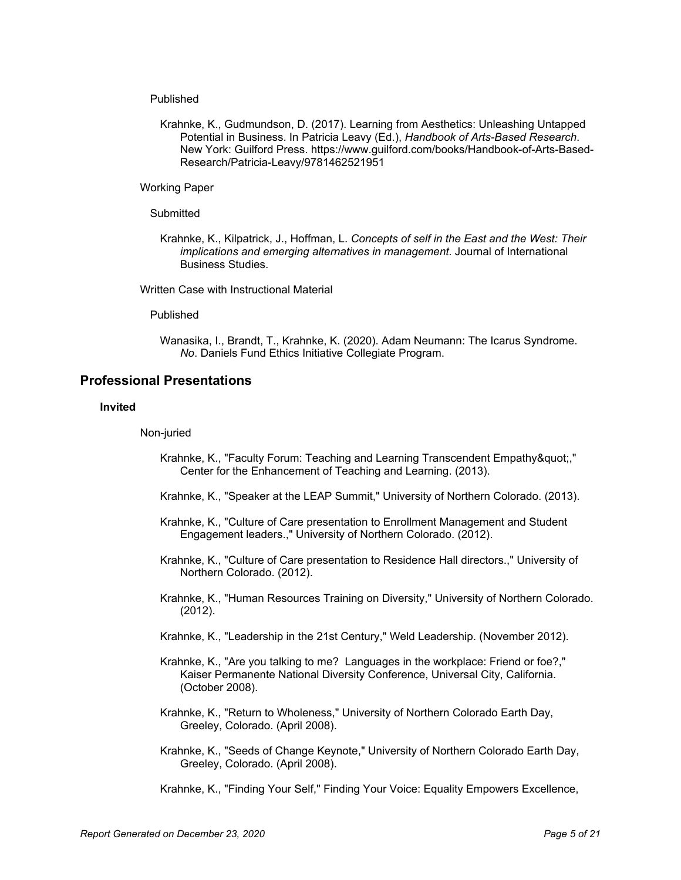### Published

Krahnke, K., Gudmundson, D. (2017). Learning from Aesthetics: Unleashing Untapped Potential in Business. In Patricia Leavy (Ed.), *Handbook of Arts-Based Research*. New York: Guilford Press. https://www.guilford.com/books/Handbook-of-Arts-Based-Research/Patricia-Leavy/9781462521951

Working Paper

### **Submitted**

Krahnke, K., Kilpatrick, J., Hoffman, L. *Concepts of self in the East and the West: Their implications and emerging alternatives in management*. Journal of International Business Studies.

Written Case with Instructional Material

#### Published

Wanasika, I., Brandt, T., Krahnke, K. (2020). Adam Neumann: The Icarus Syndrome. *No*. Daniels Fund Ethics Initiative Collegiate Program.

### **Professional Presentations**

### **Invited**

#### Non-juried

- Krahnke, K., "Faculty Forum: Teaching and Learning Transcendent Empathy"," Center for the Enhancement of Teaching and Learning. (2013).
- Krahnke, K., "Speaker at the LEAP Summit," University of Northern Colorado. (2013).
- Krahnke, K., "Culture of Care presentation to Enrollment Management and Student Engagement leaders.," University of Northern Colorado. (2012).
- Krahnke, K., "Culture of Care presentation to Residence Hall directors.," University of Northern Colorado. (2012).
- Krahnke, K., "Human Resources Training on Diversity," University of Northern Colorado. (2012).
- Krahnke, K., "Leadership in the 21st Century," Weld Leadership. (November 2012).
- Krahnke, K., "Are you talking to me? Languages in the workplace: Friend or foe?," Kaiser Permanente National Diversity Conference, Universal City, California. (October 2008).
- Krahnke, K., "Return to Wholeness," University of Northern Colorado Earth Day, Greeley, Colorado. (April 2008).
- Krahnke, K., "Seeds of Change Keynote," University of Northern Colorado Earth Day, Greeley, Colorado. (April 2008).

Krahnke, K., "Finding Your Self," Finding Your Voice: Equality Empowers Excellence,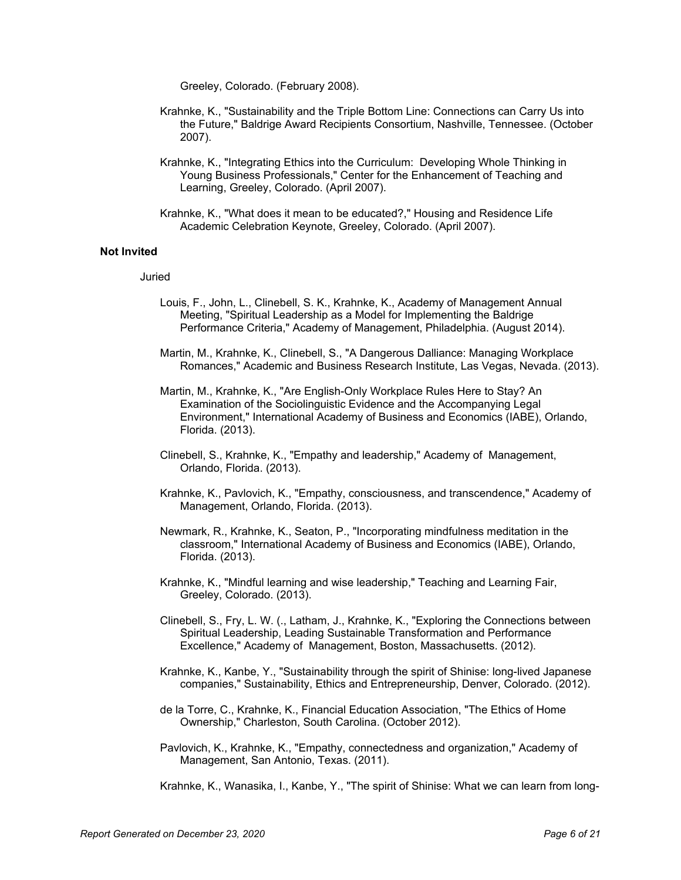Greeley, Colorado. (February 2008).

- Krahnke, K., "Sustainability and the Triple Bottom Line: Connections can Carry Us into the Future," Baldrige Award Recipients Consortium, Nashville, Tennessee. (October 2007).
- Krahnke, K., "Integrating Ethics into the Curriculum: Developing Whole Thinking in Young Business Professionals," Center for the Enhancement of Teaching and Learning, Greeley, Colorado. (April 2007).
- Krahnke, K., "What does it mean to be educated?," Housing and Residence Life Academic Celebration Keynote, Greeley, Colorado. (April 2007).

#### **Not Invited**

#### Juried

- Louis, F., John, L., Clinebell, S. K., Krahnke, K., Academy of Management Annual Meeting, "Spiritual Leadership as a Model for Implementing the Baldrige Performance Criteria," Academy of Management, Philadelphia. (August 2014).
- Martin, M., Krahnke, K., Clinebell, S., "A Dangerous Dalliance: Managing Workplace Romances," Academic and Business Research Institute, Las Vegas, Nevada. (2013).
- Martin, M., Krahnke, K., "Are English-Only Workplace Rules Here to Stay? An Examination of the Sociolinguistic Evidence and the Accompanying Legal Environment," International Academy of Business and Economics (IABE), Orlando, Florida. (2013).
- Clinebell, S., Krahnke, K., "Empathy and leadership," Academy of Management, Orlando, Florida. (2013).
- Krahnke, K., Pavlovich, K., "Empathy, consciousness, and transcendence," Academy of Management, Orlando, Florida. (2013).
- Newmark, R., Krahnke, K., Seaton, P., "Incorporating mindfulness meditation in the classroom," International Academy of Business and Economics (IABE), Orlando, Florida. (2013).
- Krahnke, K., "Mindful learning and wise leadership," Teaching and Learning Fair, Greeley, Colorado. (2013).
- Clinebell, S., Fry, L. W. (., Latham, J., Krahnke, K., "Exploring the Connections between Spiritual Leadership, Leading Sustainable Transformation and Performance Excellence," Academy of Management, Boston, Massachusetts. (2012).
- Krahnke, K., Kanbe, Y., "Sustainability through the spirit of Shinise: long-lived Japanese companies," Sustainability, Ethics and Entrepreneurship, Denver, Colorado. (2012).
- de la Torre, C., Krahnke, K., Financial Education Association, "The Ethics of Home Ownership," Charleston, South Carolina. (October 2012).
- Pavlovich, K., Krahnke, K., "Empathy, connectedness and organization," Academy of Management, San Antonio, Texas. (2011).

Krahnke, K., Wanasika, I., Kanbe, Y., "The spirit of Shinise: What we can learn from long-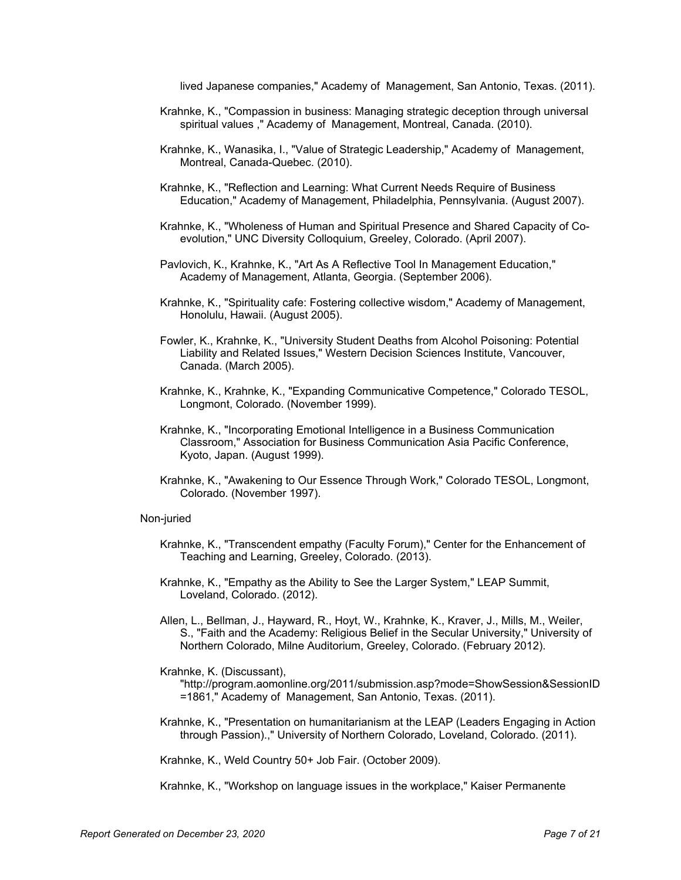lived Japanese companies," Academy of Management, San Antonio, Texas. (2011).

- Krahnke, K., "Compassion in business: Managing strategic deception through universal spiritual values ," Academy of Management, Montreal, Canada. (2010).
- Krahnke, K., Wanasika, I., "Value of Strategic Leadership," Academy of Management, Montreal, Canada-Quebec. (2010).
- Krahnke, K., "Reflection and Learning: What Current Needs Require of Business Education," Academy of Management, Philadelphia, Pennsylvania. (August 2007).
- Krahnke, K., "Wholeness of Human and Spiritual Presence and Shared Capacity of Coevolution," UNC Diversity Colloquium, Greeley, Colorado. (April 2007).
- Pavlovich, K., Krahnke, K., "Art As A Reflective Tool In Management Education," Academy of Management, Atlanta, Georgia. (September 2006).
- Krahnke, K., "Spirituality cafe: Fostering collective wisdom," Academy of Management, Honolulu, Hawaii. (August 2005).
- Fowler, K., Krahnke, K., "University Student Deaths from Alcohol Poisoning: Potential Liability and Related Issues," Western Decision Sciences Institute, Vancouver, Canada. (March 2005).
- Krahnke, K., Krahnke, K., "Expanding Communicative Competence," Colorado TESOL, Longmont, Colorado. (November 1999).
- Krahnke, K., "Incorporating Emotional Intelligence in a Business Communication Classroom," Association for Business Communication Asia Pacific Conference, Kyoto, Japan. (August 1999).
- Krahnke, K., "Awakening to Our Essence Through Work," Colorado TESOL, Longmont, Colorado. (November 1997).

#### Non-juried

- Krahnke, K., "Transcendent empathy (Faculty Forum)," Center for the Enhancement of Teaching and Learning, Greeley, Colorado. (2013).
- Krahnke, K., "Empathy as the Ability to See the Larger System," LEAP Summit, Loveland, Colorado. (2012).
- Allen, L., Bellman, J., Hayward, R., Hoyt, W., Krahnke, K., Kraver, J., Mills, M., Weiler, S., "Faith and the Academy: Religious Belief in the Secular University," University of Northern Colorado, Milne Auditorium, Greeley, Colorado. (February 2012).

#### Krahnke, K. (Discussant),

"http://program.aomonline.org/2011/submission.asp?mode=ShowSession&SessionID =1861," Academy of Management, San Antonio, Texas. (2011).

Krahnke, K., "Presentation on humanitarianism at the LEAP (Leaders Engaging in Action through Passion).," University of Northern Colorado, Loveland, Colorado. (2011).

Krahnke, K., Weld Country 50+ Job Fair. (October 2009).

Krahnke, K., "Workshop on language issues in the workplace," Kaiser Permanente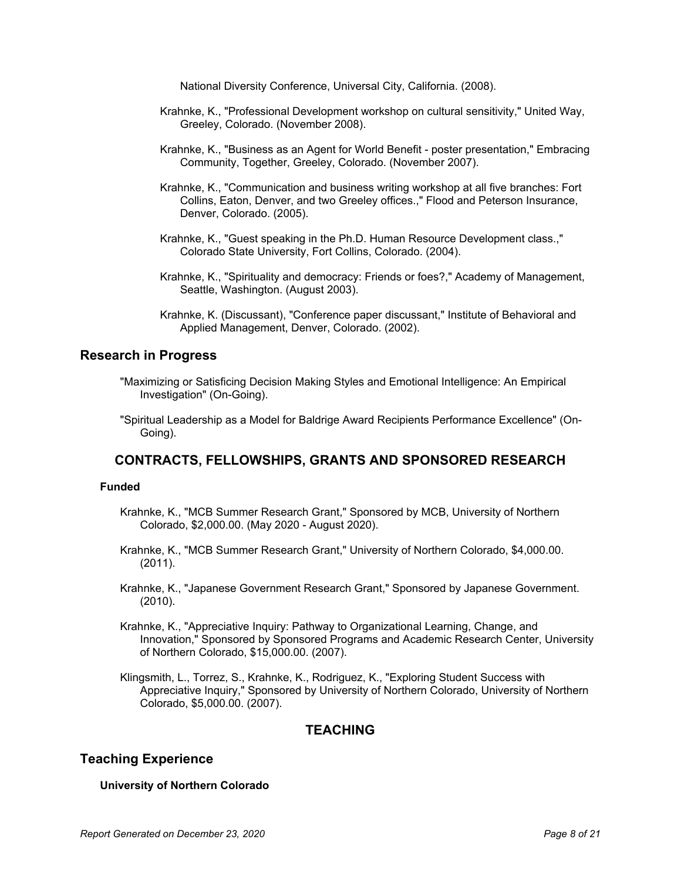National Diversity Conference, Universal City, California. (2008).

- Krahnke, K., "Professional Development workshop on cultural sensitivity," United Way, Greeley, Colorado. (November 2008).
- Krahnke, K., "Business as an Agent for World Benefit poster presentation," Embracing Community, Together, Greeley, Colorado. (November 2007).
- Krahnke, K., "Communication and business writing workshop at all five branches: Fort Collins, Eaton, Denver, and two Greeley offices.," Flood and Peterson Insurance, Denver, Colorado. (2005).
- Krahnke, K., "Guest speaking in the Ph.D. Human Resource Development class.," Colorado State University, Fort Collins, Colorado. (2004).
- Krahnke, K., "Spirituality and democracy: Friends or foes?," Academy of Management, Seattle, Washington. (August 2003).
- Krahnke, K. (Discussant), "Conference paper discussant," Institute of Behavioral and Applied Management, Denver, Colorado. (2002).

## **Research in Progress**

- "Maximizing or Satisficing Decision Making Styles and Emotional Intelligence: An Empirical Investigation" (On-Going).
- "Spiritual Leadership as a Model for Baldrige Award Recipients Performance Excellence" (On-Going).

## **CONTRACTS, FELLOWSHIPS, GRANTS AND SPONSORED RESEARCH**

### **Funded**

- Krahnke, K., "MCB Summer Research Grant," Sponsored by MCB, University of Northern Colorado, \$2,000.00. (May 2020 - August 2020).
- Krahnke, K., "MCB Summer Research Grant," University of Northern Colorado, \$4,000.00. (2011).
- Krahnke, K., "Japanese Government Research Grant," Sponsored by Japanese Government. (2010).
- Krahnke, K., "Appreciative Inquiry: Pathway to Organizational Learning, Change, and Innovation," Sponsored by Sponsored Programs and Academic Research Center, University of Northern Colorado, \$15,000.00. (2007).
- Klingsmith, L., Torrez, S., Krahnke, K., Rodriguez, K., "Exploring Student Success with Appreciative Inquiry," Sponsored by University of Northern Colorado, University of Northern Colorado, \$5,000.00. (2007).

## **TEACHING**

## **Teaching Experience**

### **University of Northern Colorado**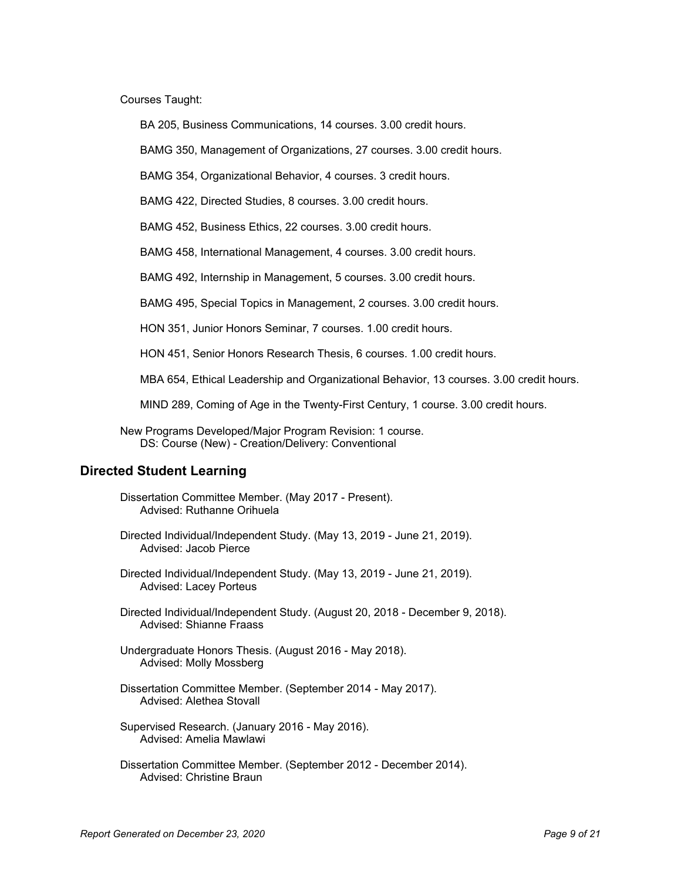Courses Taught:

BA 205, Business Communications, 14 courses. 3.00 credit hours.

BAMG 350, Management of Organizations, 27 courses. 3.00 credit hours.

BAMG 354, Organizational Behavior, 4 courses. 3 credit hours.

BAMG 422, Directed Studies, 8 courses. 3.00 credit hours.

BAMG 452, Business Ethics, 22 courses. 3.00 credit hours.

BAMG 458, International Management, 4 courses. 3.00 credit hours.

BAMG 492, Internship in Management, 5 courses. 3.00 credit hours.

BAMG 495, Special Topics in Management, 2 courses. 3.00 credit hours.

HON 351, Junior Honors Seminar, 7 courses. 1.00 credit hours.

HON 451, Senior Honors Research Thesis, 6 courses. 1.00 credit hours.

MBA 654, Ethical Leadership and Organizational Behavior, 13 courses. 3.00 credit hours.

MIND 289, Coming of Age in the Twenty-First Century, 1 course. 3.00 credit hours.

New Programs Developed/Major Program Revision: 1 course. DS: Course (New) - Creation/Delivery: Conventional

## **Directed Student Learning**

Dissertation Committee Member. (May 2017 - Present). Advised: Ruthanne Orihuela

Directed Individual/Independent Study. (May 13, 2019 - June 21, 2019). Advised: Jacob Pierce

Directed Individual/Independent Study. (May 13, 2019 - June 21, 2019). Advised: Lacey Porteus

Directed Individual/Independent Study. (August 20, 2018 - December 9, 2018). Advised: Shianne Fraass

Undergraduate Honors Thesis. (August 2016 - May 2018). Advised: Molly Mossberg

Dissertation Committee Member. (September 2014 - May 2017). Advised: Alethea Stovall

Supervised Research. (January 2016 - May 2016). Advised: Amelia Mawlawi

Dissertation Committee Member. (September 2012 - December 2014). Advised: Christine Braun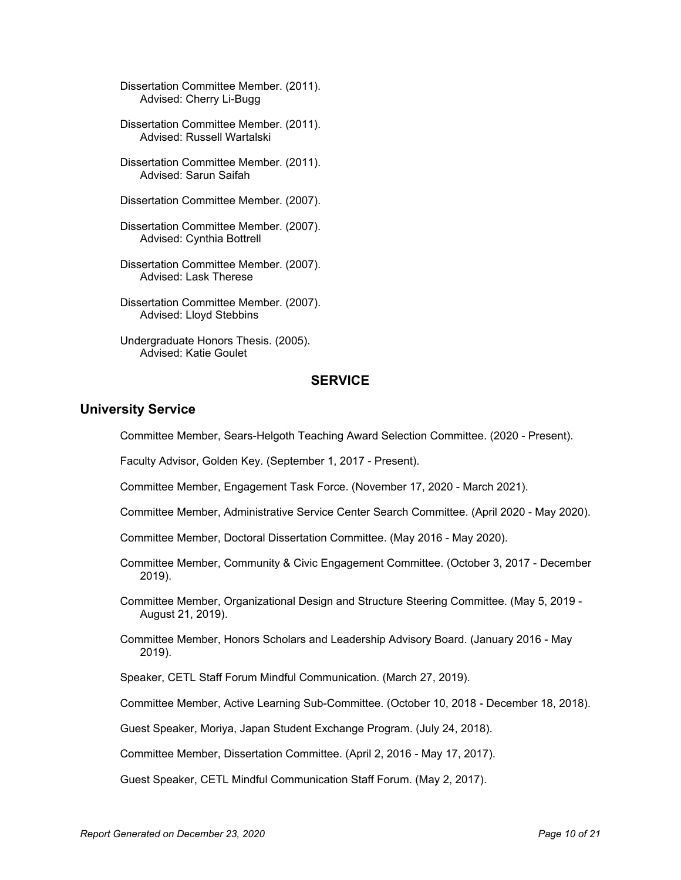Dissertation Committee Member. (2011). Advised: Cherry Li-Bugg

Dissertation Committee Member. (2011). Advised: Russell Wartalski

Dissertation Committee Member. (2011). Advised: Sarun Saifah

Dissertation Committee Member. (2007).

Dissertation Committee Member. (2007). Advised: Cynthia Bottrell

Dissertation Committee Member. (2007). Advised: Lask Therese

Dissertation Committee Member. (2007). Advised: Lloyd Stebbins

Undergraduate Honors Thesis. (2005). Advised: Katie Goulet

## **SERVICE**

### **University Service**

Committee Member, Sears-Helgoth Teaching Award Selection Committee. (2020 - Present).

Faculty Advisor, Golden Key. (September 1, 2017 - Present).

Committee Member, Engagement Task Force. (November 17, 2020 - March 2021).

Committee Member, Administrative Service Center Search Committee. (April 2020 - May 2020).

Committee Member, Doctoral Dissertation Committee. (May 2016 - May 2020).

Committee Member, Community & Civic Engagement Committee. (October 3, 2017 - December 2019).

Committee Member, Organizational Design and Structure Steering Committee. (May 5, 2019 - August 21, 2019).

Committee Member, Honors Scholars and Leadership Advisory Board. (January 2016 - May 2019).

Speaker, CETL Staff Forum Mindful Communication. (March 27, 2019).

Committee Member, Active Learning Sub-Committee. (October 10, 2018 - December 18, 2018).

Guest Speaker, Moriya, Japan Student Exchange Program. (July 24, 2018).

Committee Member, Dissertation Committee. (April 2, 2016 - May 17, 2017).

Guest Speaker, CETL Mindful Communication Staff Forum. (May 2, 2017).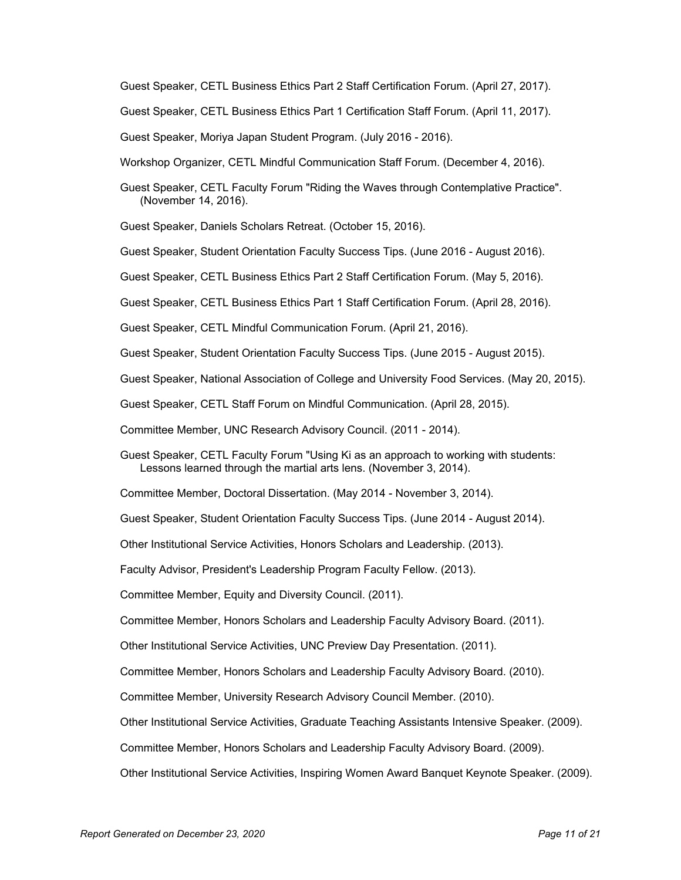Guest Speaker, CETL Business Ethics Part 2 Staff Certification Forum. (April 27, 2017).

Guest Speaker, CETL Business Ethics Part 1 Certification Staff Forum. (April 11, 2017).

Guest Speaker, Moriya Japan Student Program. (July 2016 - 2016).

Workshop Organizer, CETL Mindful Communication Staff Forum. (December 4, 2016).

Guest Speaker, CETL Faculty Forum "Riding the Waves through Contemplative Practice". (November 14, 2016).

Guest Speaker, Daniels Scholars Retreat. (October 15, 2016).

Guest Speaker, Student Orientation Faculty Success Tips. (June 2016 - August 2016).

Guest Speaker, CETL Business Ethics Part 2 Staff Certification Forum. (May 5, 2016).

Guest Speaker, CETL Business Ethics Part 1 Staff Certification Forum. (April 28, 2016).

Guest Speaker, CETL Mindful Communication Forum. (April 21, 2016).

Guest Speaker, Student Orientation Faculty Success Tips. (June 2015 - August 2015).

Guest Speaker, National Association of College and University Food Services. (May 20, 2015).

Guest Speaker, CETL Staff Forum on Mindful Communication. (April 28, 2015).

Committee Member, UNC Research Advisory Council. (2011 - 2014).

Guest Speaker, CETL Faculty Forum "Using Ki as an approach to working with students: Lessons learned through the martial arts lens. (November 3, 2014).

Committee Member, Doctoral Dissertation. (May 2014 - November 3, 2014).

Guest Speaker, Student Orientation Faculty Success Tips. (June 2014 - August 2014).

Other Institutional Service Activities, Honors Scholars and Leadership. (2013).

Faculty Advisor, President's Leadership Program Faculty Fellow. (2013).

Committee Member, Equity and Diversity Council. (2011).

Committee Member, Honors Scholars and Leadership Faculty Advisory Board. (2011).

Other Institutional Service Activities, UNC Preview Day Presentation. (2011).

Committee Member, Honors Scholars and Leadership Faculty Advisory Board. (2010).

Committee Member, University Research Advisory Council Member. (2010).

Other Institutional Service Activities, Graduate Teaching Assistants Intensive Speaker. (2009).

Committee Member, Honors Scholars and Leadership Faculty Advisory Board. (2009).

Other Institutional Service Activities, Inspiring Women Award Banquet Keynote Speaker. (2009).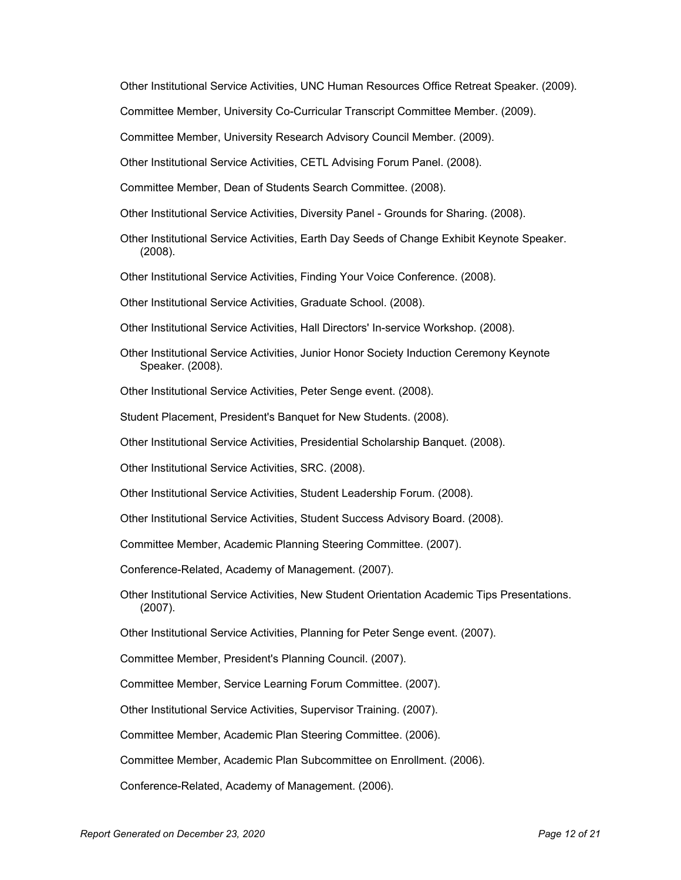Other Institutional Service Activities, UNC Human Resources Office Retreat Speaker. (2009).

Committee Member, University Co-Curricular Transcript Committee Member. (2009).

Committee Member, University Research Advisory Council Member. (2009).

Other Institutional Service Activities, CETL Advising Forum Panel. (2008).

Committee Member, Dean of Students Search Committee. (2008).

Other Institutional Service Activities, Diversity Panel - Grounds for Sharing. (2008).

Other Institutional Service Activities, Earth Day Seeds of Change Exhibit Keynote Speaker. (2008).

Other Institutional Service Activities, Finding Your Voice Conference. (2008).

Other Institutional Service Activities, Graduate School. (2008).

Other Institutional Service Activities, Hall Directors' In-service Workshop. (2008).

Other Institutional Service Activities, Junior Honor Society Induction Ceremony Keynote Speaker. (2008).

Other Institutional Service Activities, Peter Senge event. (2008).

Student Placement, President's Banquet for New Students. (2008).

Other Institutional Service Activities, Presidential Scholarship Banquet. (2008).

Other Institutional Service Activities, SRC. (2008).

Other Institutional Service Activities, Student Leadership Forum. (2008).

Other Institutional Service Activities, Student Success Advisory Board. (2008).

Committee Member, Academic Planning Steering Committee. (2007).

Conference-Related, Academy of Management. (2007).

Other Institutional Service Activities, New Student Orientation Academic Tips Presentations. (2007).

Other Institutional Service Activities, Planning for Peter Senge event. (2007).

Committee Member, President's Planning Council. (2007).

Committee Member, Service Learning Forum Committee. (2007).

Other Institutional Service Activities, Supervisor Training. (2007).

Committee Member, Academic Plan Steering Committee. (2006).

Committee Member, Academic Plan Subcommittee on Enrollment. (2006).

Conference-Related, Academy of Management. (2006).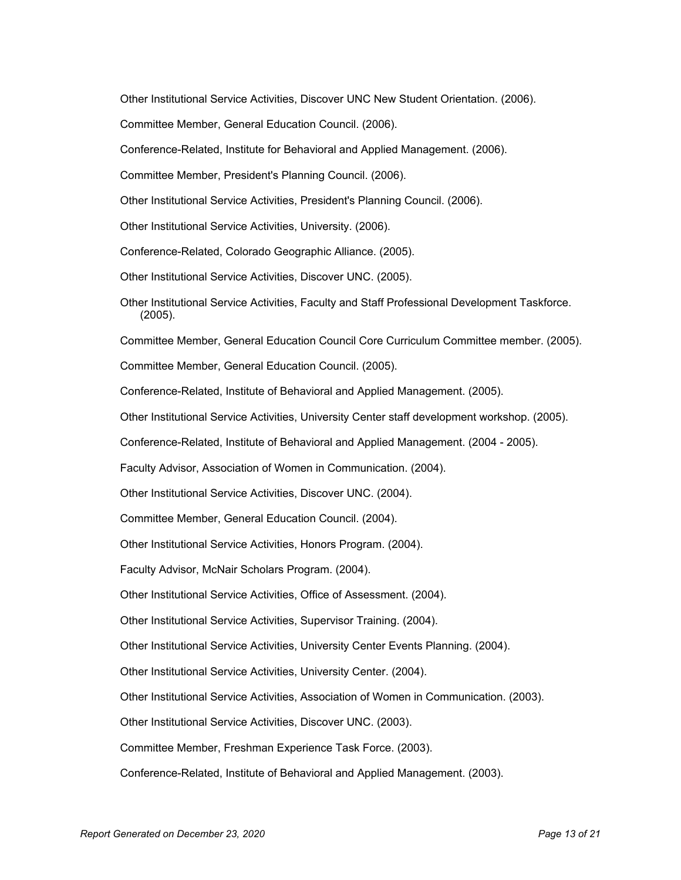Other Institutional Service Activities, Discover UNC New Student Orientation. (2006).

Committee Member, General Education Council. (2006).

Conference-Related, Institute for Behavioral and Applied Management. (2006).

Committee Member, President's Planning Council. (2006).

Other Institutional Service Activities, President's Planning Council. (2006).

Other Institutional Service Activities, University. (2006).

Conference-Related, Colorado Geographic Alliance. (2005).

Other Institutional Service Activities, Discover UNC. (2005).

Other Institutional Service Activities, Faculty and Staff Professional Development Taskforce. (2005).

Committee Member, General Education Council Core Curriculum Committee member. (2005).

Committee Member, General Education Council. (2005).

Conference-Related, Institute of Behavioral and Applied Management. (2005).

Other Institutional Service Activities, University Center staff development workshop. (2005).

Conference-Related, Institute of Behavioral and Applied Management. (2004 - 2005).

Faculty Advisor, Association of Women in Communication. (2004).

Other Institutional Service Activities, Discover UNC. (2004).

Committee Member, General Education Council. (2004).

Other Institutional Service Activities, Honors Program. (2004).

Faculty Advisor, McNair Scholars Program. (2004).

Other Institutional Service Activities, Office of Assessment. (2004).

Other Institutional Service Activities, Supervisor Training. (2004).

Other Institutional Service Activities, University Center Events Planning. (2004).

Other Institutional Service Activities, University Center. (2004).

Other Institutional Service Activities, Association of Women in Communication. (2003).

Other Institutional Service Activities, Discover UNC. (2003).

Committee Member, Freshman Experience Task Force. (2003).

Conference-Related, Institute of Behavioral and Applied Management. (2003).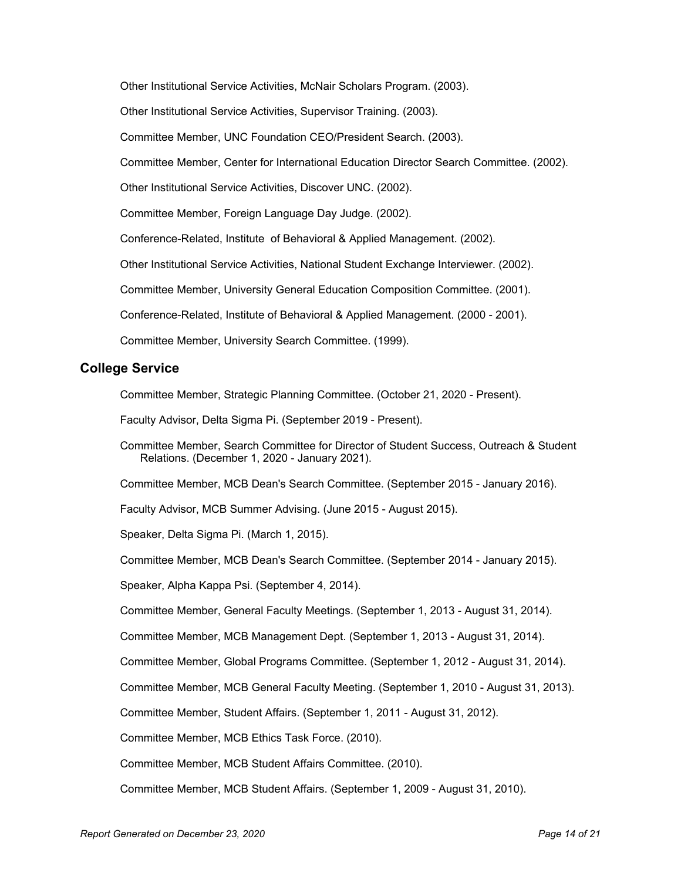Other Institutional Service Activities, McNair Scholars Program. (2003). Other Institutional Service Activities, Supervisor Training. (2003). Committee Member, UNC Foundation CEO/President Search. (2003). Committee Member, Center for International Education Director Search Committee. (2002). Other Institutional Service Activities, Discover UNC. (2002). Committee Member, Foreign Language Day Judge. (2002). Conference-Related, Institute of Behavioral & Applied Management. (2002). Other Institutional Service Activities, National Student Exchange Interviewer. (2002). Committee Member, University General Education Composition Committee. (2001). Conference-Related, Institute of Behavioral & Applied Management. (2000 - 2001). Committee Member, University Search Committee. (1999).

## **College Service**

Committee Member, Strategic Planning Committee. (October 21, 2020 - Present).

Faculty Advisor, Delta Sigma Pi. (September 2019 - Present).

Committee Member, Search Committee for Director of Student Success, Outreach & Student Relations. (December 1, 2020 - January 2021).

Committee Member, MCB Dean's Search Committee. (September 2015 - January 2016).

Faculty Advisor, MCB Summer Advising. (June 2015 - August 2015).

Speaker, Delta Sigma Pi. (March 1, 2015).

Committee Member, MCB Dean's Search Committee. (September 2014 - January 2015).

Speaker, Alpha Kappa Psi. (September 4, 2014).

Committee Member, General Faculty Meetings. (September 1, 2013 - August 31, 2014).

Committee Member, MCB Management Dept. (September 1, 2013 - August 31, 2014).

Committee Member, Global Programs Committee. (September 1, 2012 - August 31, 2014).

Committee Member, MCB General Faculty Meeting. (September 1, 2010 - August 31, 2013).

Committee Member, Student Affairs. (September 1, 2011 - August 31, 2012).

Committee Member, MCB Ethics Task Force. (2010).

Committee Member, MCB Student Affairs Committee. (2010).

Committee Member, MCB Student Affairs. (September 1, 2009 - August 31, 2010).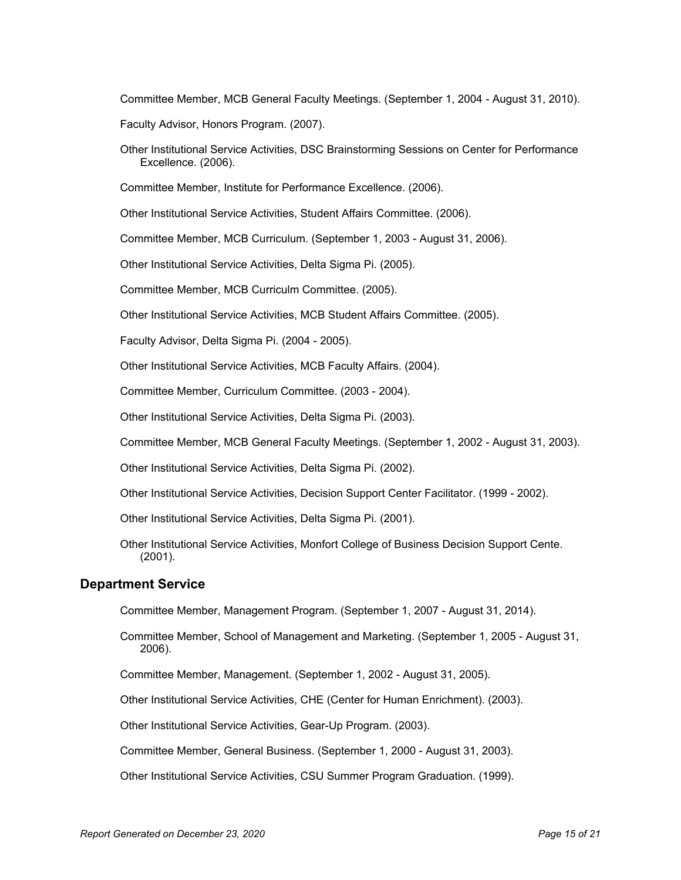Committee Member, MCB General Faculty Meetings. (September 1, 2004 - August 31, 2010).

Faculty Advisor, Honors Program. (2007).

Other Institutional Service Activities, DSC Brainstorming Sessions on Center for Performance Excellence. (2006).

Committee Member, Institute for Performance Excellence. (2006).

Other Institutional Service Activities, Student Affairs Committee. (2006).

Committee Member, MCB Curriculum. (September 1, 2003 - August 31, 2006).

Other Institutional Service Activities, Delta Sigma Pi. (2005).

Committee Member, MCB Curriculm Committee. (2005).

Other Institutional Service Activities, MCB Student Affairs Committee. (2005).

Faculty Advisor, Delta Sigma Pi. (2004 - 2005).

Other Institutional Service Activities, MCB Faculty Affairs. (2004).

Committee Member, Curriculum Committee. (2003 - 2004).

Other Institutional Service Activities, Delta Sigma Pi. (2003).

Committee Member, MCB General Faculty Meetings. (September 1, 2002 - August 31, 2003).

Other Institutional Service Activities, Delta Sigma Pi. (2002).

Other Institutional Service Activities, Decision Support Center Facilitator. (1999 - 2002).

Other Institutional Service Activities, Delta Sigma Pi. (2001).

Other Institutional Service Activities, Monfort College of Business Decision Support Cente. (2001).

### **Department Service**

Committee Member, Management Program. (September 1, 2007 - August 31, 2014).

Committee Member, School of Management and Marketing. (September 1, 2005 - August 31, 2006).

Committee Member, Management. (September 1, 2002 - August 31, 2005).

Other Institutional Service Activities, CHE (Center for Human Enrichment). (2003).

Other Institutional Service Activities, Gear-Up Program. (2003).

Committee Member, General Business. (September 1, 2000 - August 31, 2003).

Other Institutional Service Activities, CSU Summer Program Graduation. (1999).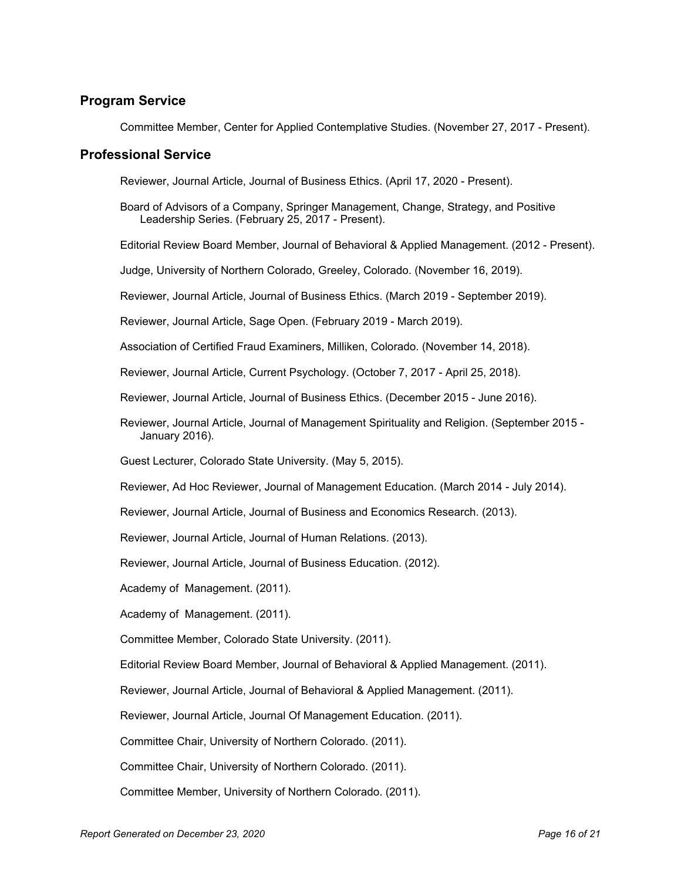## **Program Service**

Committee Member, Center for Applied Contemplative Studies. (November 27, 2017 - Present).

### **Professional Service**

Reviewer, Journal Article, Journal of Business Ethics. (April 17, 2020 - Present).

- Board of Advisors of a Company, Springer Management, Change, Strategy, and Positive Leadership Series. (February 25, 2017 - Present).
- Editorial Review Board Member, Journal of Behavioral & Applied Management. (2012 Present).

Judge, University of Northern Colorado, Greeley, Colorado. (November 16, 2019).

Reviewer, Journal Article, Journal of Business Ethics. (March 2019 - September 2019).

Reviewer, Journal Article, Sage Open. (February 2019 - March 2019).

Association of Certified Fraud Examiners, Milliken, Colorado. (November 14, 2018).

Reviewer, Journal Article, Current Psychology. (October 7, 2017 - April 25, 2018).

Reviewer, Journal Article, Journal of Business Ethics. (December 2015 - June 2016).

Reviewer, Journal Article, Journal of Management Spirituality and Religion. (September 2015 - January 2016).

Guest Lecturer, Colorado State University. (May 5, 2015).

Reviewer, Ad Hoc Reviewer, Journal of Management Education. (March 2014 - July 2014).

Reviewer, Journal Article, Journal of Business and Economics Research. (2013).

Reviewer, Journal Article, Journal of Human Relations. (2013).

Reviewer, Journal Article, Journal of Business Education. (2012).

Academy of Management. (2011).

Academy of Management. (2011).

Committee Member, Colorado State University. (2011).

Editorial Review Board Member, Journal of Behavioral & Applied Management. (2011).

Reviewer, Journal Article, Journal of Behavioral & Applied Management. (2011).

Reviewer, Journal Article, Journal Of Management Education. (2011).

Committee Chair, University of Northern Colorado. (2011).

Committee Chair, University of Northern Colorado. (2011).

Committee Member, University of Northern Colorado. (2011).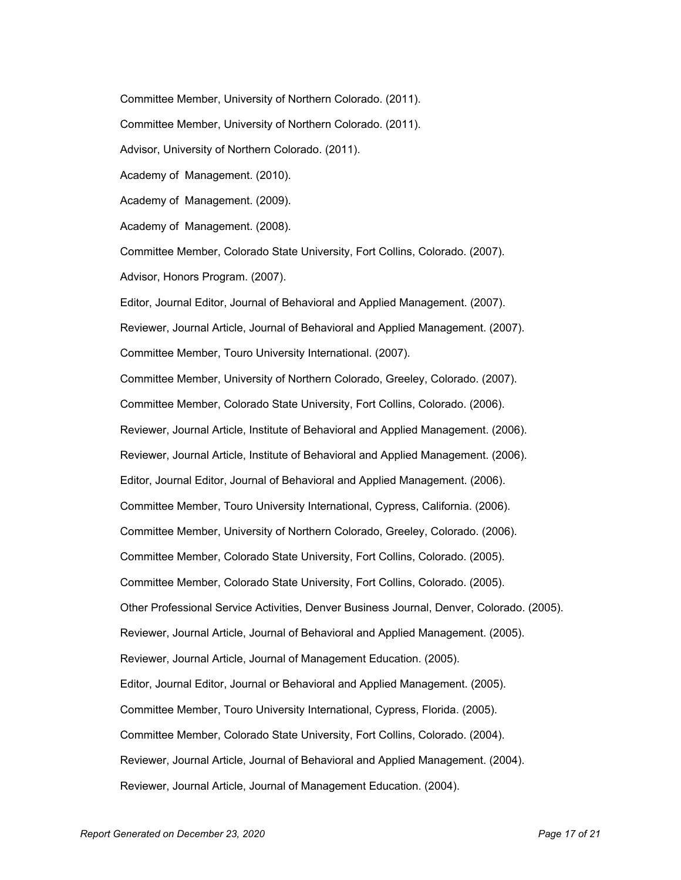Committee Member, University of Northern Colorado. (2011). Committee Member, University of Northern Colorado. (2011). Advisor, University of Northern Colorado. (2011). Academy of Management. (2010). Academy of Management. (2009). Academy of Management. (2008). Committee Member, Colorado State University, Fort Collins, Colorado. (2007). Advisor, Honors Program. (2007). Editor, Journal Editor, Journal of Behavioral and Applied Management. (2007). Reviewer, Journal Article, Journal of Behavioral and Applied Management. (2007). Committee Member, Touro University International. (2007). Committee Member, University of Northern Colorado, Greeley, Colorado. (2007). Committee Member, Colorado State University, Fort Collins, Colorado. (2006). Reviewer, Journal Article, Institute of Behavioral and Applied Management. (2006). Reviewer, Journal Article, Institute of Behavioral and Applied Management. (2006). Editor, Journal Editor, Journal of Behavioral and Applied Management. (2006). Committee Member, Touro University International, Cypress, California. (2006). Committee Member, University of Northern Colorado, Greeley, Colorado. (2006). Committee Member, Colorado State University, Fort Collins, Colorado. (2005). Committee Member, Colorado State University, Fort Collins, Colorado. (2005). Other Professional Service Activities, Denver Business Journal, Denver, Colorado. (2005). Reviewer, Journal Article, Journal of Behavioral and Applied Management. (2005). Reviewer, Journal Article, Journal of Management Education. (2005). Editor, Journal Editor, Journal or Behavioral and Applied Management. (2005). Committee Member, Touro University International, Cypress, Florida. (2005). Committee Member, Colorado State University, Fort Collins, Colorado. (2004). Reviewer, Journal Article, Journal of Behavioral and Applied Management. (2004). Reviewer, Journal Article, Journal of Management Education. (2004).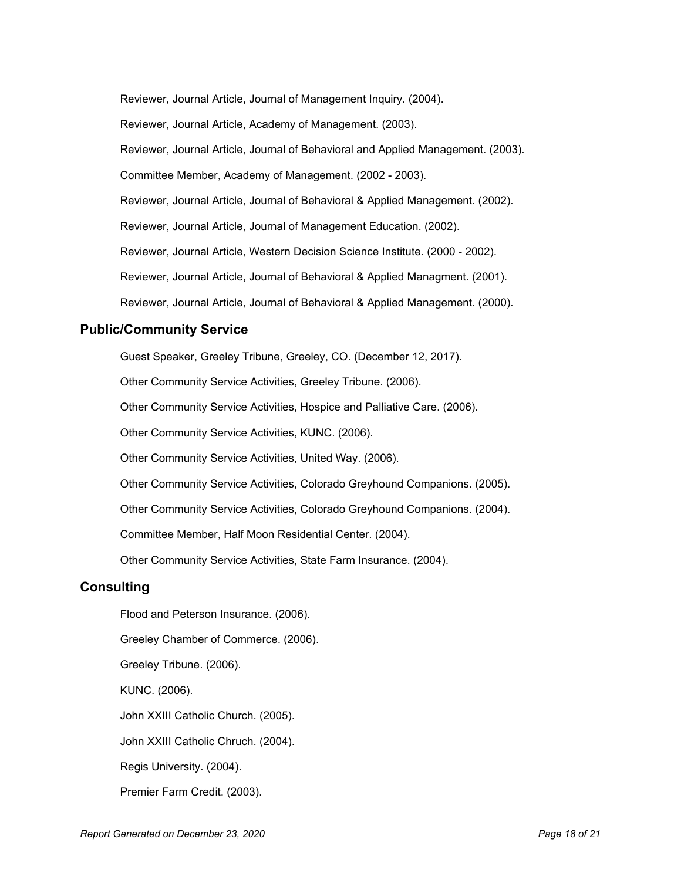Reviewer, Journal Article, Journal of Management Inquiry. (2004). Reviewer, Journal Article, Academy of Management. (2003). Reviewer, Journal Article, Journal of Behavioral and Applied Management. (2003). Committee Member, Academy of Management. (2002 - 2003). Reviewer, Journal Article, Journal of Behavioral & Applied Management. (2002). Reviewer, Journal Article, Journal of Management Education. (2002). Reviewer, Journal Article, Western Decision Science Institute. (2000 - 2002). Reviewer, Journal Article, Journal of Behavioral & Applied Managment. (2001). Reviewer, Journal Article, Journal of Behavioral & Applied Management. (2000).

## **Public/Community Service**

Guest Speaker, Greeley Tribune, Greeley, CO. (December 12, 2017).

Other Community Service Activities, Greeley Tribune. (2006).

Other Community Service Activities, Hospice and Palliative Care. (2006).

Other Community Service Activities, KUNC. (2006).

Other Community Service Activities, United Way. (2006).

Other Community Service Activities, Colorado Greyhound Companions. (2005).

Other Community Service Activities, Colorado Greyhound Companions. (2004).

Committee Member, Half Moon Residential Center. (2004).

Other Community Service Activities, State Farm Insurance. (2004).

## **Consulting**

Flood and Peterson Insurance. (2006). Greeley Chamber of Commerce. (2006).

Greeley Tribune. (2006).

KUNC. (2006).

John XXIII Catholic Church. (2005).

John XXIII Catholic Chruch. (2004).

Regis University. (2004).

Premier Farm Credit. (2003).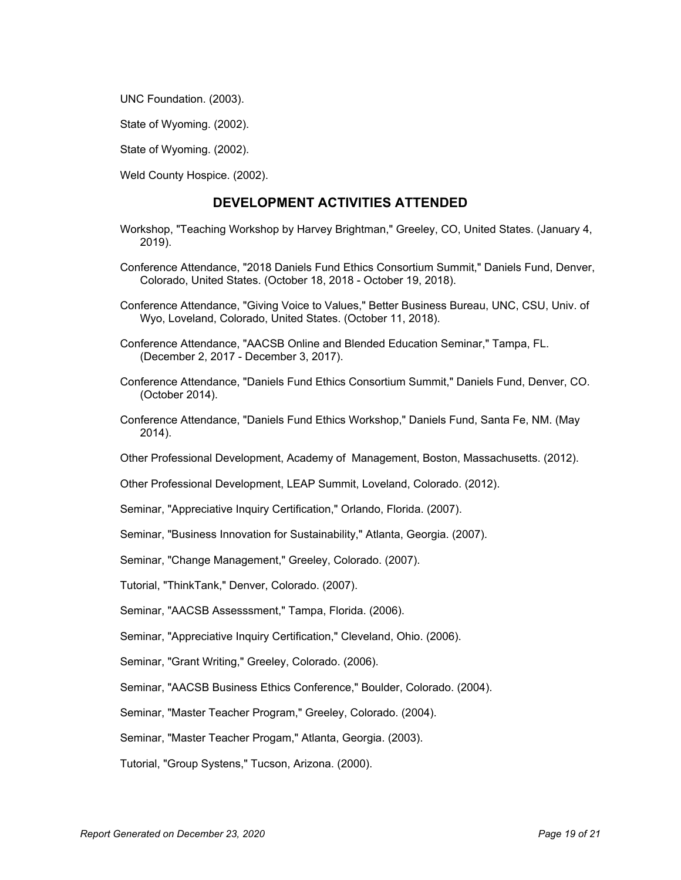UNC Foundation. (2003).

State of Wyoming. (2002).

State of Wyoming. (2002).

Weld County Hospice. (2002).

### **DEVELOPMENT ACTIVITIES ATTENDED**

- Workshop, "Teaching Workshop by Harvey Brightman," Greeley, CO, United States. (January 4, 2019).
- Conference Attendance, "2018 Daniels Fund Ethics Consortium Summit," Daniels Fund, Denver, Colorado, United States. (October 18, 2018 - October 19, 2018).
- Conference Attendance, "Giving Voice to Values," Better Business Bureau, UNC, CSU, Univ. of Wyo, Loveland, Colorado, United States. (October 11, 2018).
- Conference Attendance, "AACSB Online and Blended Education Seminar," Tampa, FL. (December 2, 2017 - December 3, 2017).
- Conference Attendance, "Daniels Fund Ethics Consortium Summit," Daniels Fund, Denver, CO. (October 2014).
- Conference Attendance, "Daniels Fund Ethics Workshop," Daniels Fund, Santa Fe, NM. (May 2014).

Other Professional Development, Academy of Management, Boston, Massachusetts. (2012).

Other Professional Development, LEAP Summit, Loveland, Colorado. (2012).

Seminar, "Appreciative Inquiry Certification," Orlando, Florida. (2007).

Seminar, "Business Innovation for Sustainability," Atlanta, Georgia. (2007).

Seminar, "Change Management," Greeley, Colorado. (2007).

Tutorial, "ThinkTank," Denver, Colorado. (2007).

Seminar, "AACSB Assesssment," Tampa, Florida. (2006).

Seminar, "Appreciative Inquiry Certification," Cleveland, Ohio. (2006).

Seminar, "Grant Writing," Greeley, Colorado. (2006).

Seminar, "AACSB Business Ethics Conference," Boulder, Colorado. (2004).

Seminar, "Master Teacher Program," Greeley, Colorado. (2004).

Seminar, "Master Teacher Progam," Atlanta, Georgia. (2003).

Tutorial, "Group Systens," Tucson, Arizona. (2000).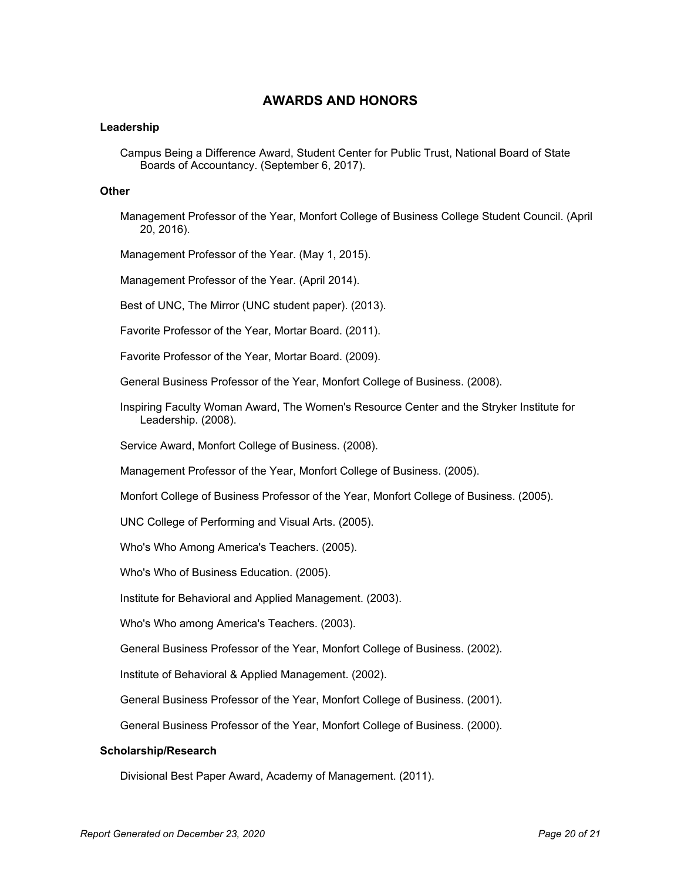## **AWARDS AND HONORS**

### **Leadership**

Campus Being a Difference Award, Student Center for Public Trust, National Board of State Boards of Accountancy. (September 6, 2017).

### **Other**

- Management Professor of the Year, Monfort College of Business College Student Council. (April 20, 2016).
- Management Professor of the Year. (May 1, 2015).

Management Professor of the Year. (April 2014).

Best of UNC, The Mirror (UNC student paper). (2013).

Favorite Professor of the Year, Mortar Board. (2011).

Favorite Professor of the Year, Mortar Board. (2009).

General Business Professor of the Year, Monfort College of Business. (2008).

Inspiring Faculty Woman Award, The Women's Resource Center and the Stryker Institute for Leadership. (2008).

Service Award, Monfort College of Business. (2008).

Management Professor of the Year, Monfort College of Business. (2005).

Monfort College of Business Professor of the Year, Monfort College of Business. (2005).

UNC College of Performing and Visual Arts. (2005).

Who's Who Among America's Teachers. (2005).

Who's Who of Business Education. (2005).

Institute for Behavioral and Applied Management. (2003).

Who's Who among America's Teachers. (2003).

General Business Professor of the Year, Monfort College of Business. (2002).

Institute of Behavioral & Applied Management. (2002).

General Business Professor of the Year, Monfort College of Business. (2001).

General Business Professor of the Year, Monfort College of Business. (2000).

#### **Scholarship/Research**

Divisional Best Paper Award, Academy of Management. (2011).